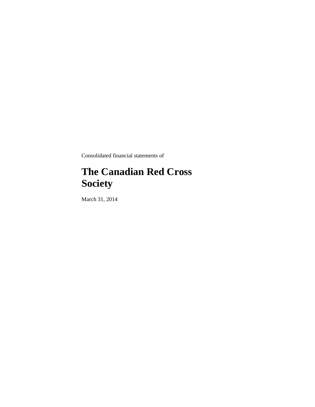Consolidated financial statements of

# **The Canadian Red Cross Society**

March 31, 2014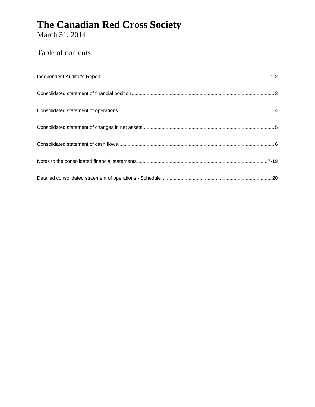March 31, 2014

### Table of contents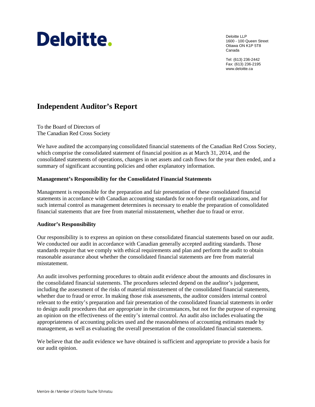# Deloitte.

Deloitte LLP 1600 - 100 Queen Street Ottawa ON K1P 5T8 Canada

Tel: (613) 236-2442 Fax: (613) 236-2195 www.deloitte.ca

### **Independent Auditor's Report**

To the Board of Directors of The Canadian Red Cross Society

We have audited the accompanying consolidated financial statements of the Canadian Red Cross Society, which comprise the consolidated statement of financial position as at March 31, 2014, and the consolidated statements of operations, changes in net assets and cash flows for the year then ended, and a summary of significant accounting policies and other explanatory information.

#### **Management's Responsibility for the Consolidated Financial Statements**

Management is responsible for the preparation and fair presentation of these consolidated financial statements in accordance with Canadian accounting standards for not-for-profit organizations, and for such internal control as management determines is necessary to enable the preparation of consolidated financial statements that are free from material misstatement, whether due to fraud or error.

#### **Auditor's Responsibility**

Our responsibility is to express an opinion on these consolidated financial statements based on our audit. We conducted our audit in accordance with Canadian generally accepted auditing standards. Those standards require that we comply with ethical requirements and plan and perform the audit to obtain reasonable assurance about whether the consolidated financial statements are free from material misstatement.

An audit involves performing procedures to obtain audit evidence about the amounts and disclosures in the consolidated financial statements. The procedures selected depend on the auditor's judgement, including the assessment of the risks of material misstatement of the consolidated financial statements, whether due to fraud or error. In making those risk assessments, the auditor considers internal control relevant to the entity's preparation and fair presentation of the consolidated financial statements in order to design audit procedures that are appropriate in the circumstances, but not for the purpose of expressing an opinion on the effectiveness of the entity's internal control. An audit also includes evaluating the appropriateness of accounting policies used and the reasonableness of accounting estimates made by management, as well as evaluating the overall presentation of the consolidated financial statements.

We believe that the audit evidence we have obtained is sufficient and appropriate to provide a basis for our audit opinion.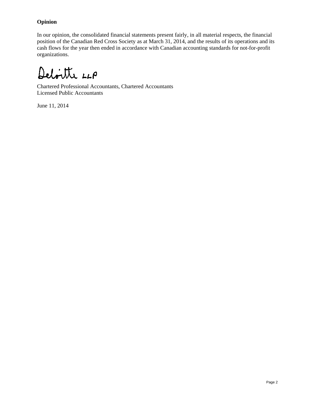#### **Opinion**

In our opinion, the consolidated financial statements present fairly, in all material respects, the financial position of the Canadian Red Cross Society as at March 31, 2014, and the results of its operations and its cash flows for the year then ended in accordance with Canadian accounting standards for not-for-profit organizations.

Deloitte LLP

Chartered Professional Accountants, Chartered Accountants Licensed Public Accountants

June 11, 2014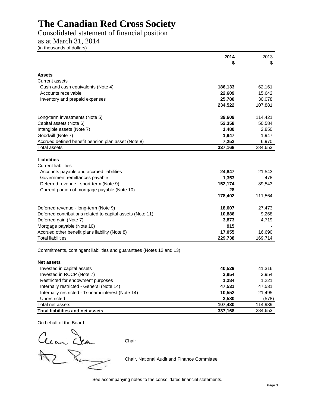### Consolidated statement of financial position

as at March 31, 2014

(in thousands of dollars)

|                                                                      | 2014    | 2013    |
|----------------------------------------------------------------------|---------|---------|
|                                                                      |         | \$.     |
| <b>Assets</b>                                                        |         |         |
| <b>Current assets</b>                                                |         |         |
| Cash and cash equivalents (Note 4)                                   | 186,133 | 62,161  |
| Accounts receivable                                                  | 22,609  | 15,642  |
| Inventory and prepaid expenses                                       | 25,780  | 30,078  |
|                                                                      | 234,522 | 107,881 |
| Long-term investments (Note 5)                                       | 39,609  | 114,421 |
| Capital assets (Note 6)                                              | 52,358  | 50,584  |
| Intangible assets (Note 7)                                           | 1,480   | 2,850   |
| Goodwill (Note 7)                                                    | 1,947   | 1,947   |
| Accrued defined benefit pension plan asset (Note 8)                  | 7,252   | 6,970   |
| <b>Total assets</b>                                                  | 337,168 | 284,653 |
|                                                                      |         |         |
| Liabilities<br><b>Current liabilities</b>                            |         |         |
| Accounts payable and accrued liabilities                             | 24,847  | 21,543  |
| Government remittances payable                                       | 1,353   | 478     |
| Deferred revenue - short-term (Note 9)                               | 152,174 | 89,543  |
| Current portion of mortgage payable (Note 10)                        | 28      |         |
|                                                                      | 178,402 | 111,564 |
|                                                                      |         |         |
| Deferred revenue - long-term (Note 9)                                | 18,607  | 27,473  |
| Deferred contributions related to capital assets (Note 11)           | 10,886  | 9,268   |
| Deferred gain (Note 7)                                               | 3,873   | 4,719   |
| Mortgage payable (Note 10)                                           | 915     |         |
| Accrued other benefit plans liability (Note 8)                       | 17,055  | 16,690  |
| <b>Total liabilities</b>                                             | 229,738 | 169,714 |
| Commitments, contingent liabilities and guarantees (Notes 12 and 13) |         |         |
| <b>Net assets</b>                                                    |         |         |
| Invested in capital assets                                           | 40,529  | 41,316  |
| Invested in RCCP (Note 7)                                            | 3,954   | 3,954   |
| Restricted for endowment purposes                                    | 1,284   | 1,221   |
| Internally restricted - General (Note 14)                            | 47,531  | 47,531  |
| Internally restricted - Tsunami interest (Note 14)                   | 10,552  | 21,495  |
| Unrestricted                                                         | 3,580   | (578)   |
| Total net assets                                                     | 107,430 | 114,939 |

On behalf of the Board

a<br>Ilan Chair  $\gtrsim$  $\overline{\phantom{a}}$ 

Chair, National Audit and Finance Committee

See accompanying notes to the consolidated financial statements.

**Total liabilities and net assets 337,168** 284,653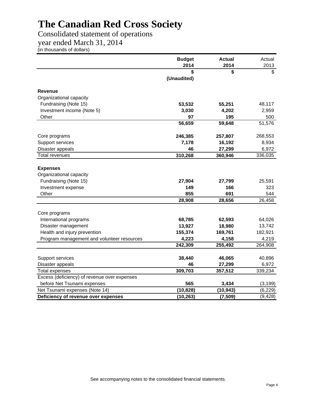### Consolidated statement of operations

year ended March 31, 2014

(in thousands of dollars)

|                                              | <b>Budget</b> | <b>Actual</b> | Actual   |
|----------------------------------------------|---------------|---------------|----------|
|                                              | 2014          | 2014          | 2013     |
|                                              | \$            | \$            | \$       |
|                                              | (Unaudited)   |               |          |
| <b>Revenue</b>                               |               |               |          |
| Organizational capacity                      |               |               |          |
| Fundraising (Note 15)                        | 53,532        | 55,251        | 48,117   |
| Investment income (Note 5)                   | 3,030         | 4,202         | 2,959    |
| Other                                        | 97            | 195           | 500      |
|                                              | 56,659        | 59,648        | 51,576   |
| Core programs                                | 246,385       | 257,807       | 268,553  |
| Support services                             | 7,178         | 16,192        | 8,934    |
| Disaster appeals                             | 46            | 27,299        | 6,972    |
| <b>Total revenues</b>                        | 310,268       | 360,946       | 336,035  |
|                                              |               |               |          |
| <b>Expenses</b>                              |               |               |          |
| Organizational capacity                      |               |               |          |
| Fundraising (Note 15)                        | 27,904        | 27,799        | 25,591   |
| Investment expense                           | 149           | 166           | 323      |
| Other                                        | 855           | 691           | 544      |
|                                              | 28,908        | 28,656        | 26,458   |
|                                              |               |               |          |
| Core programs                                |               |               |          |
| International programs                       | 68,785        | 62,593        | 64,026   |
| Disaster management                          | 13,927        | 18,980        | 13,742   |
| Health and injury prevention                 | 155,374       | 169,761       | 182,921  |
| Program management and volunteer resources   | 4,223         | 4,158         | 4,219    |
|                                              | 242,309       | 255,492       | 264,908  |
|                                              |               |               |          |
| Support services                             | 38,440        | 46,065        | 40,896   |
| Disaster appeals                             | 46            | 27,299        | 6,972    |
| <b>Total expenses</b>                        | 309,703       | 357,512       | 339,234  |
| Excess (deficiency) of revenue over expenses |               |               |          |
| before Net Tsunami expenses                  | 565           | 3,434         | (3, 199) |
| Net Tsunami expenses (Note 14)               | (10, 828)     | (10, 943)     | (6, 229) |
| Deficiency of revenue over expenses          | (10, 263)     | (7, 509)      | (9, 428) |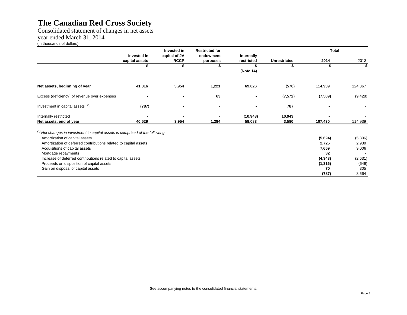Consolidated statement of changes in net assets year ended March 31, 2014 (in thousands of dollars)

|                                                                                  |                | Invested in   | <b>Restricted for</b> |                |                     | <b>Total</b> |          |
|----------------------------------------------------------------------------------|----------------|---------------|-----------------------|----------------|---------------------|--------------|----------|
|                                                                                  | Invested in    | capital of JV | endowment             | Internally     |                     |              |          |
|                                                                                  | capital assets | <b>RCCP</b>   | purposes              | restricted     | <b>Unrestricted</b> | 2014         | 2013     |
|                                                                                  |                |               |                       |                | S                   | \$           |          |
|                                                                                  |                |               |                       | (Note 14)      |                     |              |          |
| Net assets, beginning of year                                                    | 41,316         | 3,954         | 1,221                 | 69,026         | (578)               | 114,939      | 124,367  |
| Excess (deficiency) of revenue over expenses                                     | $\blacksquare$ |               | 63                    | $\blacksquare$ | (7, 572)            | (7, 509)     | (9, 428) |
| Investment in capital assets (1)                                                 | (787)          |               |                       | $\blacksquare$ | 787                 |              |          |
| Internally restricted                                                            |                |               |                       | (10, 943)      | 10,943              |              |          |
| Net assets, end of year                                                          | 40,529         | 3,954         | 1,284                 | 58,083         | 3,580               | 107,430      | 114,939  |
| $(1)$ Net changes in investment in capital assets is comprised of the following: |                |               |                       |                |                     |              |          |
| Amortization of capital assets                                                   |                |               |                       |                |                     | (5,624)      | (5,306)  |
| Amortization of deferred contributions related to capital assets                 |                |               |                       |                |                     | 2,725        | 2,939    |
| Acquisitions of capital assets                                                   |                |               |                       |                |                     | 7,669        | 9,006    |
| Mortgage repayments                                                              |                |               |                       |                |                     | 32           |          |
| Increase of deferred contributions related to capital assets                     |                |               |                       |                |                     | (4, 343)     | (2,631)  |
| Proceeds on disposition of capital assets                                        |                |               |                       |                |                     | (1, 316)     | (649)    |
| Gain on disposal of capital assets                                               |                |               |                       |                |                     | 70           | 305      |
|                                                                                  |                |               |                       |                |                     | (787)        | 3,664    |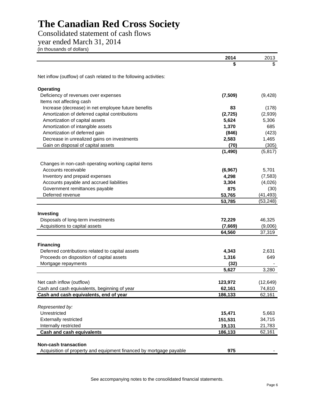Consolidated statement of cash flows

year ended March 31, 2014

(in thousands of dollars)

|                                                                                               | 2014           | 2013         |
|-----------------------------------------------------------------------------------------------|----------------|--------------|
|                                                                                               | \$             |              |
| Net inflow (outflow) of cash related to the following activities:                             |                |              |
| Operating                                                                                     |                |              |
| Deficiency of revenues over expenses                                                          | (7,509)        | (9, 428)     |
| Items not affecting cash                                                                      |                |              |
| Increase (decrease) in net employee future benefits                                           | 83             | (178)        |
| Amortization of deferred capital contributions                                                | (2, 725)       | (2,939)      |
| Amortization of capital assets                                                                | 5,624          | 5,306        |
| Amortization of intangible assets                                                             | 1,370          | 685          |
| Amortization of deferred gain                                                                 | (846)          | (423)        |
| Decrease in unrealized gains on investments                                                   | 2,583          | 1,465        |
| Gain on disposal of capital assets                                                            | (70)           | (305)        |
|                                                                                               | (1, 490)       | (5, 817)     |
| Changes in non-cash operating working capital items                                           |                |              |
| Accounts receivable                                                                           | (6, 967)       | 5,701        |
| Inventory and prepaid expenses                                                                | 4,298          | (7, 583)     |
| Accounts payable and accrued liabilities                                                      | 3,304          | (4,026)      |
| Government remittances payable                                                                | 875            | (30)         |
| Deferred revenue                                                                              | 53,765         | (41, 493)    |
|                                                                                               | 53,785         | (53, 248)    |
| Investing                                                                                     |                |              |
| Disposals of long-term investments                                                            | 72,229         | 46,325       |
| Acquisitions to capital assets                                                                | (7,669)        | (9,006)      |
|                                                                                               | 64,560         | 37,319       |
|                                                                                               |                |              |
| <b>Financing</b>                                                                              |                |              |
| Deferred contributions related to capital assets<br>Proceeds on disposition of capital assets | 4,343<br>1,316 | 2,631<br>649 |
| Mortgage repayments                                                                           | (32)           |              |
|                                                                                               | 5,627          | 3,280        |
|                                                                                               |                |              |
| Net cash inflow (outflow)                                                                     | 123,972        | (12, 649)    |
| Cash and cash equivalents, beginning of year                                                  | 62,161         | 74,810       |
| Cash and cash equivalents, end of year                                                        | 186,133        | 62,161       |
| Represented by:                                                                               |                |              |
| Unrestricted                                                                                  | 15,471         | 5,663        |
| <b>Externally restricted</b>                                                                  | 151,531        | 34,715       |
| Internally restricted                                                                         | 19,131         | 21,783       |
| <b>Cash and cash equivalents</b>                                                              | 186,133        | 62,161       |
|                                                                                               |                |              |
| <b>Non-cash transaction</b>                                                                   |                |              |
| Acquisition of property and equipment financed by mortgage payable                            | 975            |              |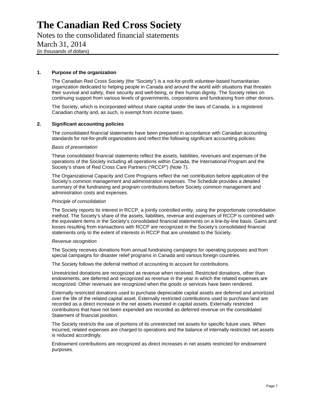Notes to the consolidated financial statements March 31, 2014 (in thousands of dollars)

#### **1. Purpose of the organization**

The Canadian Red Cross Society (the "Society") is a not-for-profit volunteer-based humanitarian organization dedicated to helping people in Canada and around the world with situations that threaten their survival and safety, their security and well-being, or their human dignity. The Society relies on continuing support from various levels of governments, corporations and fundraising from other donors.

The Society, which is incorporated without share capital under the laws of Canada, is a registered Canadian charity and, as such, is exempt from income taxes.

#### **2. Significant accounting policies**

The consolidated financial statements have been prepared in accordance with Canadian accounting standards for not-for-profit organizations and reflect the following significant accounting policies:

#### *Basis of presentation*

These consolidated financial statements reflect the assets, liabilities, revenues and expenses of the operations of the Society including all operations within Canada, the International Program and the Society's share of Red Cross Care Partners ("RCCP") (Note 7).

The Organizational Capacity and Core Programs reflect the net contribution before application of the Society's common management and administration expenses. The Schedule provides a detailed summary of the fundraising and program contributions before Society common management and administration costs and expenses.

#### *Principle of consolidation*

The Society reports its interest in RCCP, a jointly controlled entity, using the proportionate consolidation method. The Society's share of the assets, liabilities, revenue and expenses of RCCP is combined with the equivalent items in the Society's consolidated financial statements on a line-by-line basis. Gains and losses resulting from transactions with RCCP are recognized in the Society's consolidated financial statements only to the extent of interests in RCCP that are unrelated to the Society.

#### *Revenue recognition*

The Society receives donations from annual fundraising campaigns for operating purposes and from special campaigns for disaster relief programs in Canada and various foreign countries.

The Society follows the deferral method of accounting to account for contributions.

Unrestricted donations are recognized as revenue when received. Restricted donations, other than endowments, are deferred and recognized as revenue in the year in which the related expenses are recognized. Other revenues are recognized when the goods or services have been rendered.

Externally restricted donations used to purchase depreciable capital assets are deferred and amortized over the life of the related capital asset. Externally restricted contributions used to purchase land are recorded as a direct increase in the net assets invested in capital assets. Externally restricted contributions that have not been expended are recorded as deferred revenue on the consolidated Statement of financial position.

The Society restricts the use of portions of its unrestricted net assets for specific future uses. When incurred, related expenses are charged to operations and the balance of internally restricted net assets is reduced accordingly.

Endowment contributions are recognized as direct increases in net assets restricted for endowment purposes.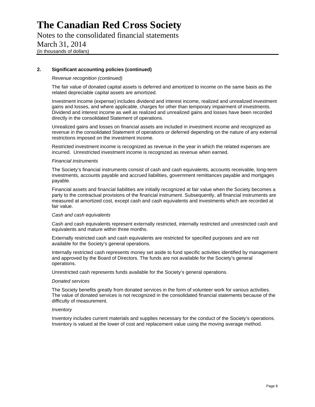Notes to the consolidated financial statements March 31, 2014 (in thousands of dollars)

#### **2. Significant accounting policies (continued)**

#### *Revenue recognition (continued)*

The fair value of donated capital assets is deferred and amortized to income on the same basis as the related depreciable capital assets are amortized.

Investment income (expense) includes dividend and interest income, realized and unrealized investment gains and losses, and where applicable, charges for other than temporary impairment of investments. Dividend and interest income as well as realized and unrealized gains and losses have been recorded directly in the consolidated Statement of operations.

Unrealized gains and losses on financial assets are included in investment income and recognized as revenue in the consolidated Statement of operations or deferred depending on the nature of any external restrictions imposed on the investment income.

Restricted investment income is recognized as revenue in the year in which the related expenses are incurred. Unrestricted investment income is recognized as revenue when earned.

#### *Financial instruments*

The Society's financial instruments consist of cash and cash equivalents, accounts receivable, long-term investments, accounts payable and accrued liabilities, government remittances payable and mortgages payable.

Financial assets and financial liabilities are initially recognized at fair value when the Society becomes a party to the contractual provisions of the financial instrument. Subsequently, all financial instruments are measured at amortized cost, except cash and cash equivalents and investments which are recorded at fair value.

#### *Cash and cash equivalents*

Cash and cash equivalents represent externally restricted, internally restricted and unrestricted cash and equivalents and mature within three months.

Externally restricted cash and cash equivalents are restricted for specified purposes and are not available for the Society's general operations.

Internally restricted cash represents money set aside to fund specific activities identified by management and approved by the Board of Directors. The funds are not available for the Society's general operations.

Unrestricted cash represents funds available for the Society's general operations.

#### *Donated services*

The Society benefits greatly from donated services in the form of volunteer work for various activities. The value of donated services is not recognized in the consolidated financial statements because of the difficulty of measurement.

#### *Inventory*

Inventory includes current materials and supplies necessary for the conduct of the Society's operations. Inventory is valued at the lower of cost and replacement value using the moving average method.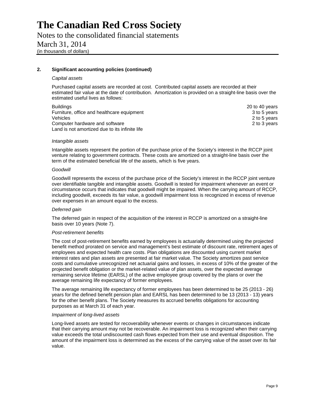Notes to the consolidated financial statements March 31, 2014 (in thousands of dollars)

#### **2. Significant accounting policies (continued)**

#### *Capital assets*

Purchased capital assets are recorded at cost. Contributed capital assets are recorded at their estimated fair value at the date of contribution. Amortization is provided on a straight-line basis over the estimated useful lives as follows:

Buildings 20 to 40 years 20 to 40 years 20 to 40 years 20 to 40 years 20 to 40 years 20 to 40 years 20 to 40 years 20 to 40 years 20 to 40 years 20 to 40 years 20 to 40 years 20 to 40 years 20 to 40 years 20 to 40 years 20 Furniture, office and healthcare equipment 3 to 5 years 3 to 5 years Vehicles 2 to 5 years 2 to 5 years 2 to 5 years 2 to 5 years 2 to 5 years 2 to 5 years 2 to 5 years 2 to 5 years 2 to 5 years 2 to 5 years 2 to 5 years 2 to 5 years 2 to 5 years 2 to 5 years 2 to 5 years 2 to 5 years 2 to Computer hardware and software 2 to 3 years 2 to 3 years 2 to 3 years 2 to 3 years 2 to 3 years 2 to 3 years 2 to 3 years 2 to 3 years 2 to 3 years 2 to 3 years 2 to 3 years 2 to 3 years 2 to 3 years 2 to 3 years 2 to 3 ye Land is not amortized due to its infinite life

#### *Intangible assets*

Intangible assets represent the portion of the purchase price of the Society's interest in the RCCP joint venture relating to government contracts. These costs are amortized on a straight-line basis over the term of the estimated beneficial life of the assets, which is five years.

#### *Goodwill*

Goodwill represents the excess of the purchase price of the Society's interest in the RCCP joint venture over identifiable tangible and intangible assets. Goodwill is tested for impairment whenever an event or circumstance occurs that indicates that goodwill might be impaired. When the carrying amount of RCCP, including goodwill, exceeds its fair value, a goodwill impairment loss is recognized in excess of revenue over expenses in an amount equal to the excess.

#### *Deferred gain*

The deferred gain in respect of the acquisition of the interest in RCCP is amortized on a straight-line basis over 10 years (Note 7).

#### *Post-retirement benefits*

The cost of post-retirement benefits earned by employees is actuarially determined using the projected benefit method prorated on service and management's best estimate of discount rate, retirement ages of employees and expected health care costs. Plan obligations are discounted using current market interest rates and plan assets are presented at fair market value. The Society amortizes past service costs and cumulative unrecognized net actuarial gains and losses, in excess of 10% of the greater of the projected benefit obligation or the market-related value of plan assets, over the expected average remaining service lifetime (EARSL) of the active employee group covered by the plans or over the average remaining life expectancy of former employees.

The average remaining life expectancy of former employees has been determined to be 25 (2013 - 26) years for the defined benefit pension plan and EARSL has been determined to be 13 (2013 - 13) years for the other benefit plans. The Society measures its accrued benefits obligations for accounting purposes as at March 31 of each year.

#### *Impairment of long-lived assets*

Long-lived assets are tested for recoverability whenever events or changes in circumstances indicate that their carrying amount may not be recoverable. An impairment loss is recognized when their carrying value exceeds the total undiscounted cash flows expected from their use and eventual disposition. The amount of the impairment loss is determined as the excess of the carrying value of the asset over its fair value.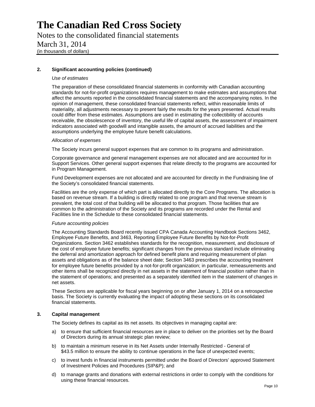Notes to the consolidated financial statements March 31, 2014 (in thousands of dollars)

#### **2. Significant accounting policies (continued)**

#### *Use of estimates*

The preparation of these consolidated financial statements in conformity with Canadian accounting standards for not-for-profit organizations requires management to make estimates and assumptions that affect the amounts reported in the consolidated financial statements and the accompanying notes. In the opinion of management, these consolidated financial statements reflect, within reasonable limits of materiality, all adjustments necessary to present fairly the results for the years presented. Actual results could differ from these estimates. Assumptions are used in estimating the collectibility of accounts receivable, the obsolescence of inventory, the useful life of capital assets, the assessment of impairment indicators associated with goodwill and intangible assets, the amount of accrued liabilities and the assumptions underlying the employee future benefit calculations.

#### *Allocation of expenses*

The Society incurs general support expenses that are common to its programs and administration.

Corporate governance and general management expenses are not allocated and are accounted for in Support Services. Other general support expenses that relate directly to the programs are accounted for in Program Management.

Fund Development expenses are not allocated and are accounted for directly in the Fundraising line of the Society's consolidated financial statements.

Facilities are the only expense of which part is allocated directly to the Core Programs. The allocation is based on revenue stream. If a building is directly related to one program and that revenue stream is prevalent, the total cost of that building will be allocated to that program. Those facilities that are common to the administration of the Society and its programs are recorded under the Rental and Facilities line in the Schedule to these consolidated financial statements.

#### *Future accounting policies*

The Accounting Standards Board recently issued CPA Canada Accounting Handbook Sections 3462, Employee Future Benefits, and 3463, Reporting Employee Future Benefits by Not-for-Profit Organizations. Section 3462 establishes standards for the recognition, measurement, and disclosure of the cost of employee future benefits; significant changes from the previous standard include eliminating the deferral and amortization approach for defined benefit plans and requiring measurement of plan assets and obligations as of the balance sheet date; Section 3463 prescribes the accounting treatment for employee future benefits provided by a not-for-profit organization; in particular, remeasurements and other items shall be recognized directly in net assets in the statement of financial position rather than in the statement of operations; and presented as a separately identified item in the statement of changes in net assets.

These Sections are applicable for fiscal years beginning on or after January 1, 2014 on a retrospective basis. The Society is currently evaluating the impact of adopting these sections on its consolidated financial statements.

#### **3. Capital management**

The Society defines its capital as its net assets. Its objectives in managing capital are:

- a) to ensure that sufficient financial resources are in place to deliver on the priorities set by the Board of Directors during its annual strategic plan review;
- b) to maintain a minimum reserve in its Net Assets under Internally Restricted General of \$43.5 million to ensure the ability to continue operations in the face of unexpected events;
- c) to invest funds in financial instruments permitted under the Board of Directors' approved Statement of Investment Policies and Procedures (SIP&P); and
- d) to manage grants and donations with external restrictions in order to comply with the conditions for using these financial resources.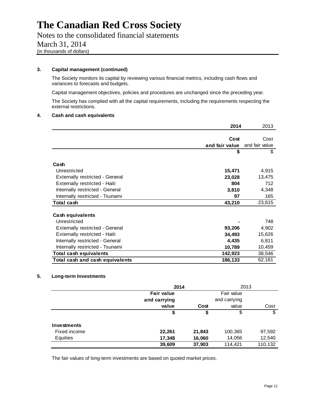Notes to the consolidated financial statements March 31, 2014

(in thousands of dollars)

#### **3. Capital management (continued)**

The Society monitors its capital by reviewing various financial metrics, including cash flows and variances to forecasts and budgets.

Capital management objectives, policies and procedures are unchanged since the preceding year.

The Society has complied with all the capital requirements, including the requirements respecting the external restrictions.

#### **4. Cash and cash equivalents**

|                                        | 2014           | 2013           |
|----------------------------------------|----------------|----------------|
|                                        |                |                |
|                                        | Cost           | Cost           |
|                                        | and fair value | and fair value |
|                                        | \$             | \$             |
| Cash                                   |                |                |
| Unrestricted                           | 15,471         | 4,915          |
| <b>Externally restricted - General</b> | 23,028         | 13,475         |
| Externally restricted - Haiti          | 804            | 712            |
| Internally restricted - General        | 3,810          | 4,348          |
| Internally restricted - Tsunami        | 97             | 165            |
| Total cash                             | 43,210         | 23,615         |
| <b>Cash equivalents</b>                |                |                |
| Unrestricted                           |                | 748            |
| <b>Externally restricted - General</b> | 93,206         | 4,902          |
| Externally restricted - Haiti          | 34,493         | 15,626         |
| Internally restricted - General        | 4,435          | 6,811          |
| Internally restricted - Tsunami        | 10,789         | 10,459         |
| <b>Total cash equivalents</b>          | 142,923        | 38,546         |
| Total cash and cash equivalents        | 186,133        | 62,161         |

#### **5. Long-term Investments**

|                    | 2014              |        | 2013         |         |
|--------------------|-------------------|--------|--------------|---------|
|                    | <b>Fair value</b> |        | Fair value   |         |
|                    | and carrying      |        | and carrying |         |
|                    | value             | Cost   | value        | Cost    |
|                    | \$                | \$     | \$           | \$      |
| <b>Investments</b> |                   |        |              |         |
| Fixed income       | 22,261            | 21,843 | 100,365      | 97,592  |
| Equities           | 17,348            | 16,060 | 14,056       | 12,540  |
|                    | 39,609            | 37,903 | 114,421      | 110,132 |

The fair values of long-term investments are based on quoted market prices.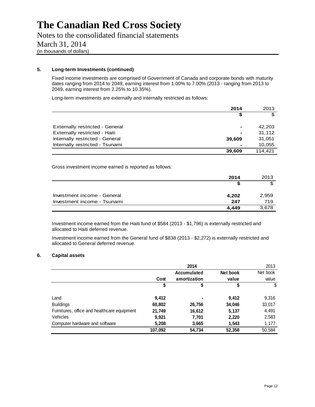Notes to the consolidated financial statements March 31, 2014 (in thousands of dollars)

#### **5. Long-term Investments (continued)**

Fixed income investments are comprised of Government of Canada and corporate bonds with maturity dates ranging from 2014 to 2049, earning interest from 1.00% to 7.00% (2013 - ranging from 2013 to 2049, earning interest from 2.25% to 10.35%).

Long-term investments are externally and internally restricted as follows:

|                                 | 2014           | 2013    |
|---------------------------------|----------------|---------|
|                                 | \$             | \$      |
|                                 |                |         |
| Externally restricted - General | $\blacksquare$ | 42,203  |
| Externally restricted - Haiti   | $\blacksquare$ | 31,112  |
| Internally restricted - General | 39,609         | 31,051  |
| Internally restricted - Tsunami |                | 10,055  |
|                                 | 39.609         | 114.421 |

Gross investment income earned is reported as follows:

|                             | 2014  | 2013  |
|-----------------------------|-------|-------|
|                             | ъ     |       |
| Investment income - General | 4,202 | 2,959 |
| Investment income - Tsunami | 247   | 719   |
|                             | 4.449 | 3,678 |

Investment income earned from the Haiti fund of \$584 (2013 - \$1,796) is externally restricted and allocated to Haiti deferred revenue.

Investment income earned from the General fund of \$838 (2013 - \$2,272) is externally restricted and allocated to General deferred revenue.

#### **6. Capital assets**

|                                             |         | 2014         |          | 2013     |
|---------------------------------------------|---------|--------------|----------|----------|
|                                             |         | Accumulated  | Net book | Net book |
|                                             | Cost    | amortization | value    | value    |
|                                             | \$      | \$           | \$       | \$       |
| Land                                        | 9,412   |              | 9,412    | 9,316    |
| <b>Buildings</b>                            | 60,802  | 26,756       | 34,046   | 33,017   |
| Furnitures, office and healthcare equipment | 21,749  | 16,612       | 5,137    | 4,491    |
| Vehicles                                    | 9,921   | 7,701        | 2,220    | 2,583    |
| Computer hardware and software              | 5,208   | 3,665        | 1,543    | 1,177    |
|                                             | 107,092 | 54,734       | 52,358   | 50,584   |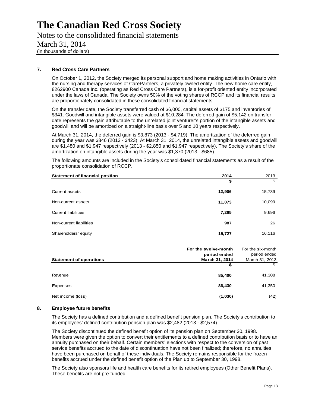Notes to the consolidated financial statements March 31, 2014 (in thousands of dollars)

#### **7. Red Cross Care Partners**

On October 1, 2012, the Society merged its personal support and home making activities in Ontario with the nursing and therapy services of CarePartners, a privately owned entity. The new home care entity, 8262900 Canada Inc. (operating as Red Cross Care Partners), is a for-profit oriented entity incorporated under the laws of Canada. The Society owns 50% of the voting shares of RCCP and its financial results are proportionately consolidated in these consolidated financial statements.

On the transfer date, the Society transferred cash of \$6,000, capital assets of \$175 and inventories of \$341. Goodwill and intangible assets were valued at \$10,284. The deferred gain of \$5,142 on transfer date represents the gain attributable to the unrelated joint venturer's portion of the intangible assets and goodwill and will be amortized on a straight-line basis over 5 and 10 years respectively.

At March 31, 2014, the deferred gain is \$3,873 (2013 - \$4,719). The amortization of the deferred gain during the year was \$846 (2013 - \$423). At March 31, 2014, the unrelated intangible assets and goodwill are \$1,480 and \$1,947 respectively (2013 - \$2,850 and \$1,947 respectively). The Society's share of the amortization on intangible assets during the year was \$1,370 (2013 - \$685).

The following amounts are included in the Society's consolidated financial statements as a result of the proportionate consolidation of RCCP.

| <b>Statement of financial position</b> | 2014   | 2013   |
|----------------------------------------|--------|--------|
|                                        | \$     | \$     |
| Current assets                         | 12,906 | 15,739 |
| Non-current assets                     | 11,073 | 10,099 |
| <b>Current liabilities</b>             | 7,265  | 9,696  |
| Non-current liabilities                | 987    | 26     |
| Shareholders' equity                   | 15,727 | 16,116 |

|                                | For the twelve-month<br>period ended | For the six-month<br>period ended |
|--------------------------------|--------------------------------------|-----------------------------------|
| <b>Statement of operations</b> | March 31, 2014                       | March 31, 2013<br>\$              |
| Revenue                        | 85,400                               | 41,308                            |
| Expenses                       | 86,430                               | 41,350                            |
| Net income (loss)              | (1,030)                              | (42)                              |

#### **8. Employee future benefits**

The Society has a defined contribution and a defined benefit pension plan. The Society's contribution to its employees' defined contribution pension plan was \$2,482 (2013 - \$2,574).

The Society discontinued the defined benefit option of its pension plan on September 30, 1998. Members were given the option to convert their entitlements to a defined contribution basis or to have an annuity purchased on their behalf. Certain members' elections with respect to the conversion of past service benefits accrued to the date of discontinuation have not been finalized; therefore, no annuities have been purchased on behalf of these individuals. The Society remains responsible for the frozen benefits accrued under the defined benefit option of the Plan up to September 30, 1998.

The Society also sponsors life and health care benefits for its retired employees (Other Benefit Plans). These benefits are not pre-funded.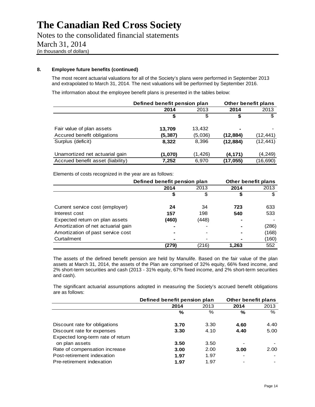Notes to the consolidated financial statements March 31, 2014 (in thousands of dollars)

#### **8. Employee future benefits (continued)**

The most recent actuarial valuations for all of the Society's plans were performed in September 2013 and extrapolated to March 31, 2014. The next valuations will be performed by September 2016.

The information about the employee benefit plans is presented in the tables below:

|                                   | Defined benefit pension plan |          | <b>Other benefit plans</b> |           |
|-----------------------------------|------------------------------|----------|----------------------------|-----------|
|                                   | 2014                         | 2013     | 2014                       | 2013      |
|                                   | \$                           | \$       | \$                         | \$        |
| Fair value of plan assets         | 13,709                       | 13.432   | ۰                          |           |
| Accured benefit obligations       | (5, 387)                     | (5,036)  | (12, 884)                  | (12, 441) |
| Surplus (deficit)                 | 8,322                        | 8,396    | (12, 884)                  | (12, 441) |
| Unamortized net actuarial gain    | (1,070)                      | (1, 426) | (4, 171)                   | (4, 249)  |
| Accrued benefit asset (liability) | 7,252                        | 6,970    | (17, 055)                  | (16, 690) |

Elements of costs recognized in the year are as follows:

|                                    | Defined benefit pension plan | Other benefit plans |       |       |  |
|------------------------------------|------------------------------|---------------------|-------|-------|--|
|                                    | 2014                         | 2013                | 2014  | 2013  |  |
|                                    | \$                           | \$                  | \$    |       |  |
| Current service cost (employer)    | 24                           | 34                  | 723   | 633   |  |
| Interest cost                      | 157                          | 198                 | 540   | 533   |  |
| Expected return on plan assets     | (460)                        | (448)               |       |       |  |
| Amortization of net actuarial gain |                              |                     | -     | (286) |  |
| Amortization of past service cost  |                              |                     | -     | (168) |  |
| Curtailment                        |                              |                     |       | (160) |  |
|                                    | (279)                        | (216)               | 1,263 | 552   |  |

The assets of the defined benefit pension are held by Manulife. Based on the fair value of the plan assets at March 31, 2014, the assets of the Plan are comprised of 32% equity, 66% fixed income, and 2% short-term securities and cash (2013 - 31% equity, 67% fixed income, and 2% short-term securities and cash).

The significant actuarial assumptions adopted in measuring the Society's accrued benefit obligations are as follows:

|                                   | Defined benefit pension plan | Other benefit plans |      |                          |
|-----------------------------------|------------------------------|---------------------|------|--------------------------|
|                                   | 2014                         | 2013                | 2014 | 2013                     |
|                                   | $\%$                         | %                   | %    | %                        |
| Discount rate for obligations     | 3.70                         | 3.30                | 4.60 | 4.40                     |
| Discount rate for expenses        | 3.30                         | 4.10                | 4.40 | 5.00                     |
| Expected long-term rate of return |                              |                     |      |                          |
| on plan assets                    | 3.50                         | 3.50                |      |                          |
| Rate of compensation increase     | 3.00                         | 2.00                | 3.00 | 2.00                     |
| Post-retirement indexation        | 1.97                         | 1.97                |      |                          |
| Pre-retirement indexation         | 1.97                         | 1.97                |      | $\overline{\phantom{0}}$ |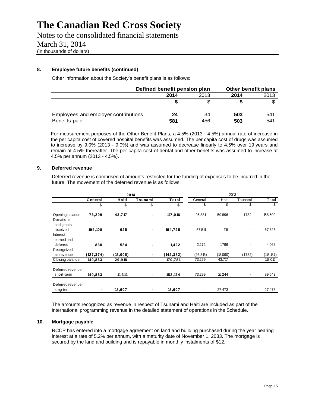Notes to the consolidated financial statements March 31, 2014 (in thousands of dollars)

#### **8. Employee future benefits (continued)**

Other information about the Society's benefit plans is as follows:

|                                      | Defined benefit pension plan |      | Other benefit plans |      |
|--------------------------------------|------------------------------|------|---------------------|------|
|                                      | 2014                         | 2013 | 2014                | 2013 |
|                                      |                              |      | S                   |      |
| Employees and employer contributions | 24                           | 34   | 503                 | 541  |
| Benefits paid                        | 581                          | 456  | 503                 | 541  |

For measurement purposes of the Other Benefit Plans, a 4.5% (2013 - 4.5%) annual rate of increase in the per capita cost of covered hospital benefits was assumed. The per capita cost of drugs was assumed to increase by 9.0% (2013 - 9.0%) and was assumed to decrease linearly to 4.5% over 19 years and remain at 4.5% thereafter. The per capita cost of dental and other benefits was assumed to increase at 4.5% per annum (2013 - 4.5%).

#### **9. Deferred revenue**

Deferred revenue is comprised of amounts restricted for the funding of expenses to be incurred in the future. The movement of the deferred revenue is as follows:

|                                      |            | 2014     |                |           |          | 2013     |                |            |
|--------------------------------------|------------|----------|----------------|-----------|----------|----------|----------------|------------|
|                                      | General    | Haiti    | Tsunami        | Total     | General  | Haiti    | Tsunami        | Total      |
|                                      | \$         | \$       | \$             | \$        | \$       | \$       | \$             | \$         |
| Opening balance<br>Donations         | 73,299     | 43,717   | ٠              | 117,016   | 96,831   | 59,896   | 1,782          | 158,509    |
| and grants<br>received<br>Interest   | 194,100    | 625      | ۰              | 194,725   | 67,511   | 115      | $\overline{a}$ | 67,626     |
| earned and<br>deferred<br>Recognized | 838        | 584      | $\blacksquare$ | 1,422     | 2,272    | 1,796    |                | 4,068      |
| as revenue                           | (127, 374) | (15,008) | ٠              | (142,382) | (93,315) | (18,090) | (1,782)        | (113, 187) |
| Closing balance                      | 140,863    | 29,918   | $\blacksquare$ | 170,781   | 73,299   | 43,717   | ٠              | 117,016    |
| Deferred revenue -<br>short-term     | 140,863    | 11,311   | ٠              | 152,174   | 73,299   | 16,244   |                | 89,543     |
| Deferred revenue -<br>long-term      | ۰          | 18,607   | ٠              | 18,607    |          | 27,473   |                | 27,473     |

The amounts recognized as revenue in respect of Tsunami and Haiti are included as part of the international programming revenue in the detailed statement of operations in the Schedule.

#### **10. Mortgage payable**

RCCP has entered into a mortgage agreement on land and building purchased during the year bearing interest at a rate of 5.2% per annum, with a maturity date of November 1, 2033. The mortgage is secured by the land and building and is repayable in monthly instalments of \$12.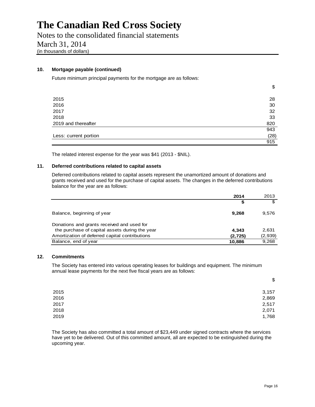Notes to the consolidated financial statements March 31, 2014 (in thousands of dollars)

#### **10. Mortgage payable (continued)**

Future minimum principal payments for the mortgage are as follows:

|                       | \$   |
|-----------------------|------|
|                       |      |
| 2015                  | 28   |
| 2016                  | 30   |
| 2017                  | 32   |
| 2018                  | 33   |
| 2019 and thereafter   | 820  |
|                       | 943  |
| Less: current portion | (28) |
|                       | 915  |

The related interest expense for the year was \$41 (2013 - \$NIL).

#### **11. Deferred contributions related to capital assets**

Deferred contributions related to capital assets represent the unamortized amount of donations and grants received and used for the purchase of capital assets. The changes in the deferred contributions balance for the year are as follows:

|                                                | 2014     | 2013    |
|------------------------------------------------|----------|---------|
|                                                | S        | \$      |
| Balance, beginning of year                     | 9.268    | 9,576   |
| Donations and grants received and used for     |          |         |
| the purchase of capital assets during the year | 4.343    | 2,631   |
| Amortization of deferred capital contributions | (2, 725) | (2,939) |
| Balance, end of year                           | 10,886   | 9,268   |

#### **12. Commitments**

The Society has entered into various operating leases for buildings and equipment. The minimum annual lease payments for the next five fiscal years are as follows:

|      | $\boldsymbol{\mathsf{S}}$ |
|------|---------------------------|
| 2015 | 3,157                     |
| 2016 | 2,869                     |
| 2017 | 2,517                     |
| 2018 | 2,071                     |
| 2019 | 1,768                     |

The Society has also committed a total amount of \$23,449 under signed contracts where the services have yet to be delivered. Out of this committed amount, all are expected to be extinguished during the upcoming year.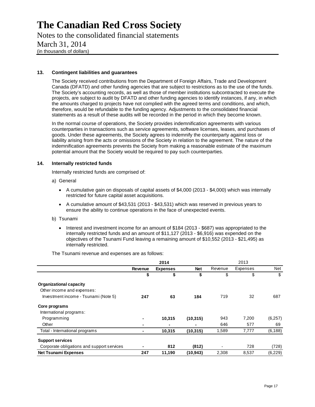Notes to the consolidated financial statements March 31, 2014 (in thousands of dollars)

#### **13. Contingent liabilities and guarantees**

The Society received contributions from the Department of Foreign Affairs, Trade and Development Canada (DFATD) and other funding agencies that are subject to restrictions as to the use of the funds. The Society's accounting records, as well as those of member institutions subcontracted to execute the projects, are subject to audit by DFATD and other funding agencies to identify instances, if any, in which the amounts charged to projects have not complied with the agreed terms and conditions, and which, therefore, would be refundable to the funding agency. Adjustments to the consolidated financial statements as a result of these audits will be recorded in the period in which they become known.

In the normal course of operations, the Society provides indemnification agreements with various counterparties in transactions such as service agreements, software licenses, leases, and purchases of goods. Under these agreements, the Society agrees to indemnify the counterparty against loss or liability arising from the acts or omissions of the Society in relation to the agreement. The nature of the indemnification agreements prevents the Society from making a reasonable estimate of the maximum potential amount that the Society would be required to pay such counterparties.

#### **14. Internally restricted funds**

Internally restricted funds are comprised of:

- a) General
	- $\bullet$  A cumulative gain on disposals of capital assets of \$4,000 (2013 \$4,000) which was internally restricted for future capital asset acquisitions.
	- A cumulative amount of \$43,531 (2013 \$43,531) which was reserved in previous years to ensure the ability to continue operations in the face of unexpected events.

#### b) Tsunami

• Interest and investment income for an amount of \$184 (2013 - \$687) was appropriated to the internally restricted funds and an amount of \$11,127 (2013 - \$6,916) was expended on the objectives of the Tsunami Fund leaving a remaining amount of \$10,552 (2013 - \$21,495) as internally restricted.

#### The Tsunami revenue and expenses are as follows:

|                                            |         | 2014            |            |         | 2013     |          |
|--------------------------------------------|---------|-----------------|------------|---------|----------|----------|
|                                            | Revenue | <b>Expenses</b> | <b>Net</b> | Revenue | Expenses | Net      |
|                                            | \$      | \$              | \$         | \$      | \$       | \$       |
| Organizational capacity                    |         |                 |            |         |          |          |
| Other income and expenses:                 |         |                 |            |         |          |          |
| Investment income - Tsunami (Note 5)       | 247     | 63              | 184        | 719     | 32       | 687      |
| Core programs                              |         |                 |            |         |          |          |
| International programs:                    |         |                 |            |         |          |          |
| Programming                                |         | 10,315          | (10, 315)  | 943     | 7,200    | (6,257)  |
| Other                                      | ۰       |                 |            | 646     | 577      | 69       |
| Total - International programs             | ۰       | 10,315          | (10, 315)  | 1,589   | 7,777    | (6, 188) |
| <b>Support services</b>                    |         |                 |            |         |          |          |
| Corporate obligations and support services |         | 812             | (812)      |         | 728      | (728)    |
| <b>Net Tsunami Expenses</b>                | 247     | 11,190          | (10, 943)  | 2,308   | 8,537    | (6,229)  |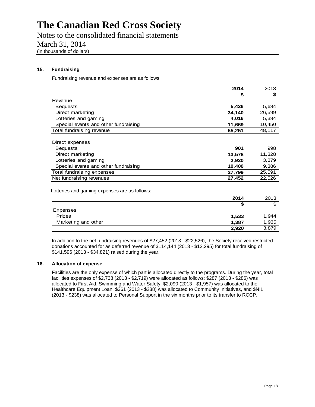Notes to the consolidated financial statements March 31, 2014 (in thousands of dollars)

#### **15. Fundraising**

Fundraising revenue and expenses are as follows:

|                                               | 2014   | 2013   |
|-----------------------------------------------|--------|--------|
|                                               | \$     | \$     |
| Revenue                                       |        |        |
| <b>Bequests</b>                               | 5,426  | 5,684  |
| Direct marketing                              | 34,140 | 26,599 |
| Lotteries and gaming                          | 4,016  | 5,384  |
| Special events and other fundraising          | 11,669 | 10,450 |
| Total fundraising revenue                     | 55,251 | 48,117 |
|                                               |        |        |
| Direct expenses                               |        |        |
| <b>Bequests</b>                               | 901    | 998    |
| Direct marketing                              | 13,578 | 11,328 |
| Lotteries and gaming                          | 2,920  | 3,879  |
| Special events and other fundraising          | 10,400 | 9,386  |
| Total fundraising expenses                    | 27,799 | 25,591 |
| Net fundraising revenues                      | 27,452 | 22,526 |
|                                               |        |        |
| Lotteries and gaming expenses are as follows: |        |        |
|                                               | 2014   | 2013   |
|                                               | \$     | \$     |
| Evnopcoc                                      |        |        |

| LAPEI 1969          |       |       |
|---------------------|-------|-------|
| <b>Prizes</b>       | 1,533 | 1.944 |
| Marketing and other | 1.387 | 1,935 |
|                     | 2,920 | 3,879 |
|                     |       |       |

In addition to the net fundraising revenues of \$27,452 (2013 - \$22,526), the Society received restricted donations accounted for as deferred revenue of \$114,144 (2013 - \$12,295) for total fundraising of \$141,596 (2013 - \$34,821) raised during the year.

#### **16. Allocation of expense**

Facilities are the only expense of which part is allocated directly to the programs. During the year, total facilities expenses of \$2,738 (2013 - \$2,719) were allocated as follows: \$287 (2013 - \$286) was allocated to First Aid, Swimming and Water Safety, \$2,090 (2013 - \$1,957) was allocated to the Healthcare Equipment Loan, \$361 (2013 - \$238) was allocated to Community Initiatives, and \$NIL (2013 - \$238) was allocated to Personal Support in the six months prior to its transfer to RCCP.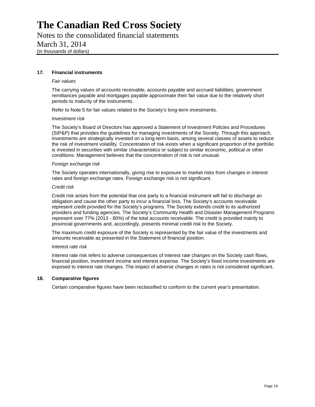Notes to the consolidated financial statements March 31, 2014 (in thousands of dollars)

#### **17. Financial instruments**

#### *Fair values*

The carrying values of accounts receivable, accounts payable and accrued liabilities, government remittances payable and mortgages payable approximate their fair value due to the relatively short periods to maturity of the instruments.

Refer to Note 5 for fair values related to the Society's long-term investments.

#### *Investment risk*

The Society's Board of Directors has approved a Statement of Investment Policies and Procedures (SIP&P) that provides the guidelines for managing investments of the Society. Through this approach, investments are strategically invested on a long-term basis, among several classes of assets to reduce the risk of investment volatility. Concentration of risk exists when a significant proportion of the portfolio is invested in securities with similar characteristics or subject to similar economic, political or other conditions. Management believes that the concentration of risk is not unusual.

#### *Foreign exchange risk*

The Society operates internationally, giving rise to exposure to market risks from changes in interest rates and foreign exchange rates. Foreign exchange risk is not significant.

#### *Credit risk*

Credit risk arises from the potential that one party to a financial instrument will fail to discharge an obligation and cause the other party to incur a financial loss. The Society's accounts receivable represent credit provided for the Society's programs. The Society extends credit to its authorized providers and funding agencies. The Society's Community Health and Disaster Management Programs represent over 77% (2013 - 80%) of the total accounts receivable. The credit is provided mainly to provincial governments and, accordingly, presents minimal credit risk to the Society.

The maximum credit exposure of the Society is represented by the fair value of the investments and amounts receivable as presented in the Statement of financial position.

#### *Interest rate risk*

Interest rate risk refers to adverse consequences of interest rate changes on the Society cash flows, financial position, investment income and interest expense. The Society's fixed income investments are exposed to interest rate changes. The impact of adverse changes in rates is not considered significant.

#### **18. Comparative figures**

Certain comparative figures have been reclassified to conform to the current year's presentation.